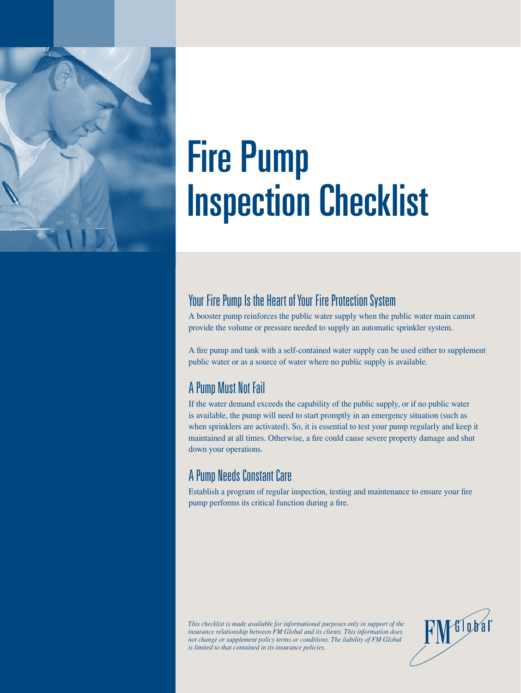

# Fire Pump Inspection Checklist

## Your Fire Pump Is the Heart of Your Fire Protection System

A booster pump reinforces the public water supply when the public water main cannot provide the volume or pressure needed to supply an automatic sprinkler system.

A fire pump and tank with a self-contained water supply can be used either to supplement public water or as a source of water where no public supply is available.

## A Pump Must Not Fail

If the water demand exceeds the capability of the public supply, or if no public water is available, the pump will need to start promptly in an emergency situation (such as when sprinklers are activated). So, it is essential to test your pump regularly and keep it maintained at all times. Otherwise, a fire could cause severe property damage and shut down your operations.

## A Pump Needs Constant Care

Establish a program of regular inspection, testing and maintenance to ensure your fire pump performs its critical function during a fire.

*This checklist is made available for informational purposes only in support of the insurance relationship between FM Global and its clients. This information does not change or supplement policy terms or conditions. The liability of FM Global is limited to that contained in its insurance policies.* 

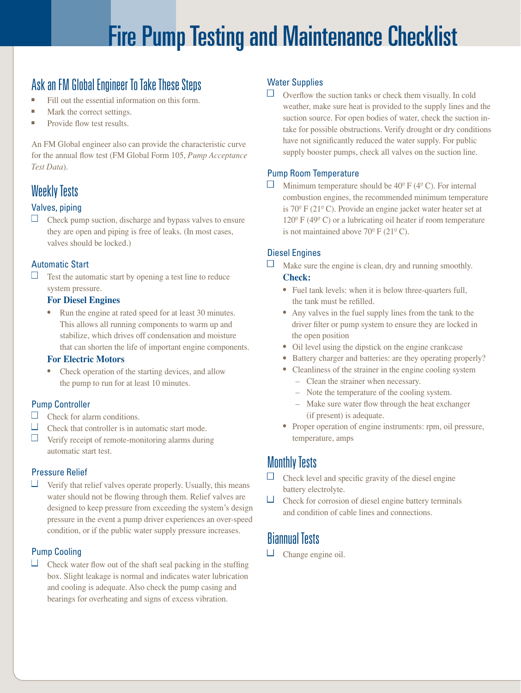## Fire Pump Testing and Maintenance Checklist

## Ask an FM Global Engineer To Take These Steps

- Fill out the essential information on this form.
- Mark the correct settings.
- Provide flow test results.

An FM Global engineer also can provide the characteristic curve for the annual flow test (FM Global Form 105, *Pump Acceptance Test Data*).

## Weekly Tests

## Valves, piping

 $\Box$  Check pump suction, discharge and bypass valves to ensure they are open and piping is free of leaks. (In most cases, valves should be locked.)

## Automatic Start

 $\Box$  Test the automatic start by opening a test line to reduce system pressure.

#### **For Diesel Engines**

 ● Run the engine at rated speed for at least 30 minutes. This allows all running components to warm up and stabilize, which drives off condensation and moisture that can shorten the life of important engine components.

#### **For Electric Motors**

• Check operation of the starting devices, and allow the pump to run for at least 10 minutes.

#### Pump Controller

- $\Box$  Check for alarm conditions.
- $\Box$  Check that controller is in automatic start mode.
- $\Box$  Verify receipt of remote-monitoring alarms during automatic start test.

#### Pressure Relief

 $\Box$  Verify that relief valves operate properly. Usually, this means water should not be flowing through them. Relief valves are designed to keep pressure from exceeding the system's design pressure in the event a pump driver experiences an over-speed condition, or if the public water supply pressure increases.

## Pump Cooling

 $\Box$  Check water flow out of the shaft seal packing in the stuffing box. Slight leakage is normal and indicates water lubrication and cooling is adequate. Also check the pump casing and bearings for overheating and signs of excess vibration.

## Water Supplies

 $\Box$  Overflow the suction tanks or check them visually. In cold weather, make sure heat is provided to the supply lines and the suction source. For open bodies of water, check the suction intake for possible obstructions. Verify drought or dry conditions have not significantly reduced the water supply. For public supply booster pumps, check all valves on the suction line.

## Pump Room Temperature

 $\Box$  Minimum temperature should be 40<sup>o</sup> F (4<sup>o</sup> C). For internal combustion engines, the recommended minimum temperature is 70º F (21º C). Provide an engine jacket water heater set at  $120^{\circ}$  F (49 $^{\circ}$  C) or a lubricating oil heater if room temperature is not maintained above  $70^{\circ}$  F (21<sup>°</sup> C).

## Diesel Engines

- $\Box$  Make sure the engine is clean, dry and running smoothly. **Check:** 
	- Fuel tank levels: when it is below three-quarters full, the tank must be refilled.
	- Any valves in the fuel supply lines from the tank to the driver filter or pump system to ensure they are locked in the open position
	- Oil level using the dipstick on the engine crankcase
	- Battery charger and batteries: are they operating properly?
	- Cleanliness of the strainer in the engine cooling system
		- Clean the strainer when necessary.
		- Note the temperature of the cooling system.
		- Make sure water flow through the heat exchanger (if present) is adequate.
	- Proper operation of engine instruments: rpm, oil pressure, temperature, amps

## Monthly Tests

- $\Box$  Check level and specific gravity of the diesel engine battery electrolyte.
- $\Box$  Check for corrosion of diesel engine battery terminals and condition of cable lines and connections.

## Biannual Tests

 $\Box$  Change engine oil.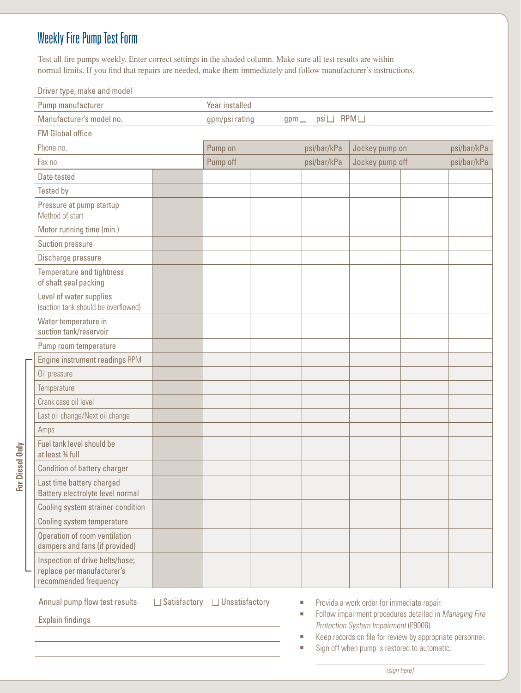## Weekly Fire Pump Test Form

Test all fire pumps weekly. Enter correct settings in the shaded column. Make sure all test results are within normal limits. If you find that repairs are needed, make them immediately and follow manufacturer's instructions.

Driver type, make and model

| Pump manufacturer                                                                      |  | Year installed                             |  |             |                 |  |             |
|----------------------------------------------------------------------------------------|--|--------------------------------------------|--|-------------|-----------------|--|-------------|
| Manufacturer's model no.                                                               |  | RPM<br>psi<br>gpm/psi rating<br>$gpm \Box$ |  |             |                 |  |             |
| <b>FM Global office</b>                                                                |  |                                            |  |             |                 |  |             |
| Phone no.                                                                              |  | Pump on                                    |  | psi/bar/kPa | Jockey pump on  |  | psi/bar/kPa |
| Fax no.                                                                                |  | Pump off                                   |  | psi/bar/kPa | Jockey pump off |  | psi/bar/kPa |
| Date tested                                                                            |  |                                            |  |             |                 |  |             |
| Tested by                                                                              |  |                                            |  |             |                 |  |             |
| Pressure at pump startup<br>Method of start                                            |  |                                            |  |             |                 |  |             |
| Motor running time (min.)                                                              |  |                                            |  |             |                 |  |             |
| Suction pressure                                                                       |  |                                            |  |             |                 |  |             |
| Discharge pressure                                                                     |  |                                            |  |             |                 |  |             |
| Temperature and tightness<br>of shaft seal packing                                     |  |                                            |  |             |                 |  |             |
| Level of water supplies<br>(suction tank should be overflowed)                         |  |                                            |  |             |                 |  |             |
| Water temperature in<br>suction tank/reservoir                                         |  |                                            |  |             |                 |  |             |
| Pump room temperature                                                                  |  |                                            |  |             |                 |  |             |
| Engine instrument readings RPM                                                         |  |                                            |  |             |                 |  |             |
| Oil pressure                                                                           |  |                                            |  |             |                 |  |             |
| Temperature                                                                            |  |                                            |  |             |                 |  |             |
| Crank case oil level                                                                   |  |                                            |  |             |                 |  |             |
| Last oil change/Next oil change                                                        |  |                                            |  |             |                 |  |             |
| Amps                                                                                   |  |                                            |  |             |                 |  |             |
| Fuel tank level should be<br>at least 34 full                                          |  |                                            |  |             |                 |  |             |
| Condition of battery charger                                                           |  |                                            |  |             |                 |  |             |
| Last time battery charged<br>Battery electrolyte level normal                          |  |                                            |  |             |                 |  |             |
| Cooling system strainer condition                                                      |  |                                            |  |             |                 |  |             |
| Cooling system temperature                                                             |  |                                            |  |             |                 |  |             |
| Operation of room ventilation<br>dampers and fans (if provided)                        |  |                                            |  |             |                 |  |             |
| Inspection of drive belts/hose;<br>replace per manufacturer's<br>recommended frequency |  |                                            |  |             |                 |  |             |

Annual pump flow test results

Explain findings

■ Satisfactory ■ Unsatisfactory <sup>n</sup> Provide a work order for immediate repair.

■ Follow impairment procedures detailed in Managing Fire Protection System Impairment (P9006).

■ Keep records on file for review by appropriate personnel.

■ Sign off when pump is restored to automatic:

For Diesel Only **For Diesel Only**